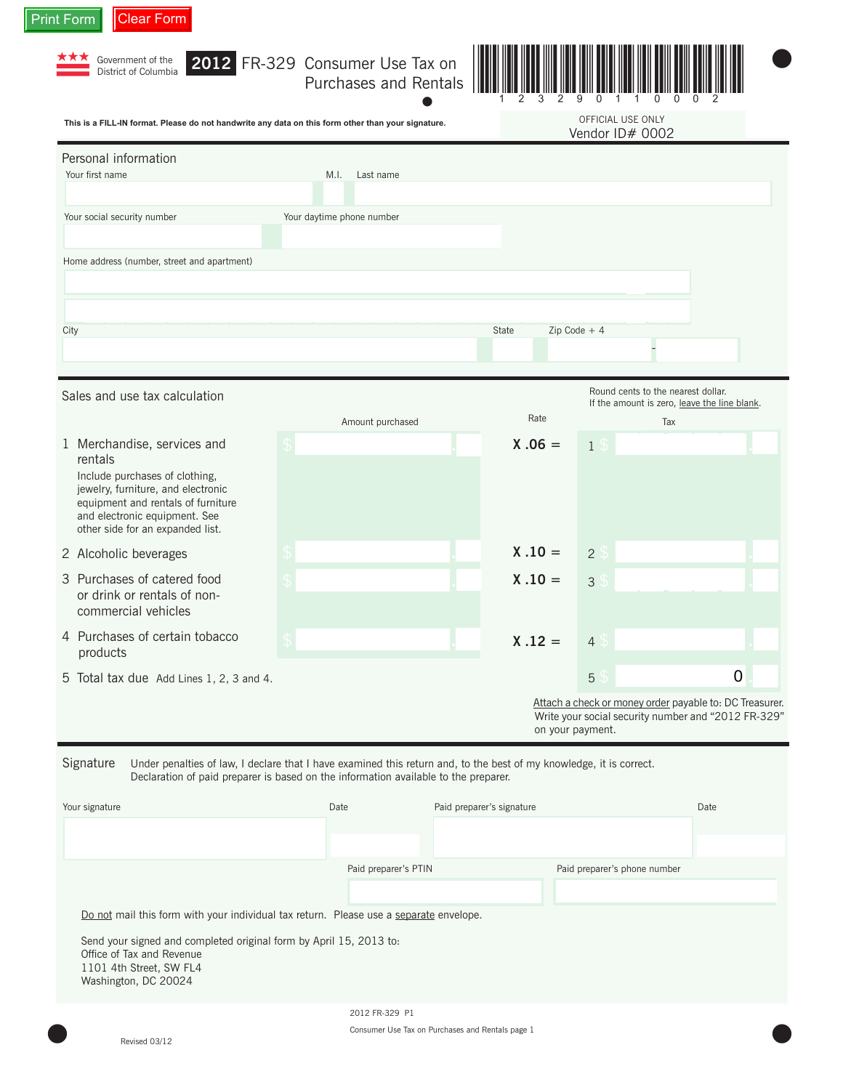| This is a FILL-IN format. Please do not handwrite any data on this form other than your signature.                                                                                                                        |                                                                                                                     |                           |           | OFFICIAL USE ONLY | Vendor ID# 0002                                                                                                |  |
|---------------------------------------------------------------------------------------------------------------------------------------------------------------------------------------------------------------------------|---------------------------------------------------------------------------------------------------------------------|---------------------------|-----------|-------------------|----------------------------------------------------------------------------------------------------------------|--|
| Personal information                                                                                                                                                                                                      |                                                                                                                     |                           |           |                   |                                                                                                                |  |
| Your first name                                                                                                                                                                                                           | M.I.<br>Last name                                                                                                   |                           |           |                   |                                                                                                                |  |
| Your social security number                                                                                                                                                                                               | Your daytime phone number                                                                                           |                           |           |                   |                                                                                                                |  |
| Home address (number, street and apartment)                                                                                                                                                                               |                                                                                                                     |                           |           |                   |                                                                                                                |  |
| City                                                                                                                                                                                                                      |                                                                                                                     |                           | State     | $Zip Code + 4$    |                                                                                                                |  |
|                                                                                                                                                                                                                           |                                                                                                                     |                           |           |                   |                                                                                                                |  |
| Sales and use tax calculation                                                                                                                                                                                             |                                                                                                                     |                           |           |                   | Round cents to the nearest dollar.<br>If the amount is zero, leave the line blank.                             |  |
|                                                                                                                                                                                                                           | Amount purchased                                                                                                    |                           | Rate      |                   | Tax                                                                                                            |  |
| 1 Merchandise, services and<br>rentals<br>Include purchases of clothing,<br>jewelry, furniture, and electronic<br>equipment and rentals of furniture<br>and electronic equipment. See<br>other side for an expanded list. |                                                                                                                     |                           | $X .06 =$ | 15                |                                                                                                                |  |
| 2 Alcoholic beverages                                                                                                                                                                                                     |                                                                                                                     |                           | $X .10 =$ | 2                 |                                                                                                                |  |
| 3 Purchases of catered food<br>or drink or rentals of non-<br>commercial vehicles                                                                                                                                         |                                                                                                                     |                           | $X .10 =$ | $\mathsf 3$       |                                                                                                                |  |
| 4 Purchases of certain tobacco<br>products                                                                                                                                                                                |                                                                                                                     |                           | $X .12 =$ | 4 <sup>°</sup>    |                                                                                                                |  |
| 5 Total tax due Add Lines 1, 2, 3 and 4.                                                                                                                                                                                  |                                                                                                                     |                           |           | 5                 | $\mathbf 0$                                                                                                    |  |
|                                                                                                                                                                                                                           |                                                                                                                     |                           |           | on your payment.  | Attach a check or money order payable to: DC Treasurer.<br>Write your social security number and "2012 FR-329" |  |
| Signature                                                                                                                                                                                                                 | Under penalties of law, I declare that I have examined this return and, to the best of my knowledge, it is correct. |                           |           |                   |                                                                                                                |  |
|                                                                                                                                                                                                                           | Declaration of paid preparer is based on the information available to the preparer.<br>Date                         | Paid preparer's signature |           |                   | Date                                                                                                           |  |
| Your signature                                                                                                                                                                                                            |                                                                                                                     |                           |           |                   |                                                                                                                |  |
|                                                                                                                                                                                                                           |                                                                                                                     |                           |           |                   |                                                                                                                |  |

2012 FR-329 P1 Consumer Use Tax on Purchases and Rentals page 1<br>
Revised 03/12